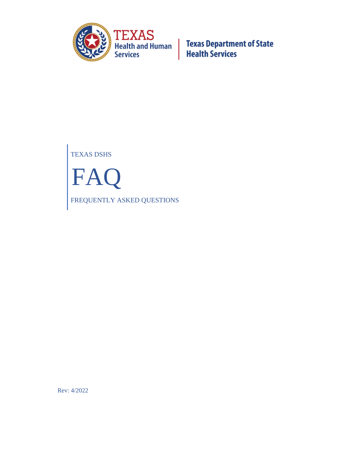

TEXAS DSHS FAQ FREQUENTLY ASKED QUESTIONS

Rev: 4/2022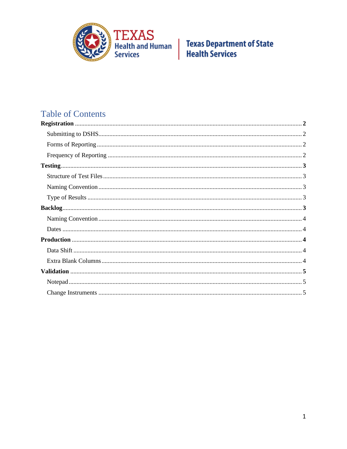

# **Table of Contents**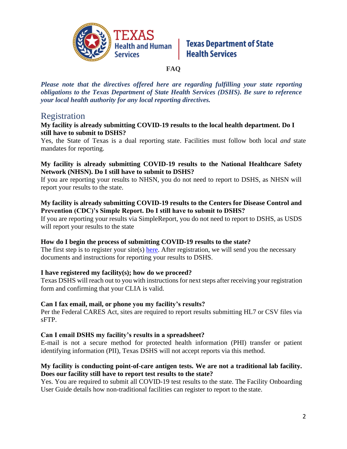

### **Texas Department of State Health Services**

### **FAQ**

*Please note that the directives offered here are regarding fulfilling your state reporting obligations to the Texas Department of State Health Services (DSHS). Be sure to reference your local health authority for any local reporting directives.*

### Registration

#### **My facility is already submitting COVID-19 results to the local health department. Do I still have to submit to DSHS?**

Yes, the State of Texas is a dual reporting state. Facilities must follow both local *and* state mandates for reporting.

#### **My facility is already submitting COVID-19 results to the National Healthcare Safety Network (NHSN). Do I still have to submit to DSHS?**

If you are reporting your results to NHSN, you do not need to report to DSHS, as NHSN will report your results to the state.

#### **My facility is already submitting COVID-19 results to the Centers for Disease Control and Prevention (CDC)'s Simple Report. Do I still have to submit to DSHS?**

If you are reporting your results via SimpleReport, you do not need to report to DSHS, as USDS will report your results to the state

#### **How do I begin the process of submitting COVID-19 results to the state?**

The first step is to register your site(s) [here.](https://dshs.texas.gov/coronavirus/forms/registerlab.aspx) After registration, we will send you the necessary documents and instructions for reporting your results to DSHS.

### **I have registered my facility(s); how do we proceed?**

Texas DSHS will reach out to you with instructions for next steps after receiving your registration form and confirming that your CLIA is valid.

### **Can I fax email, mail, or phone you my facility's results?**

Per the Federal CARES Act, sites are required to report results submitting HL7 or CSV files via sFTP.

### **Can I email DSHS my facility's results in a spreadsheet?**

E-mail is not a secure method for protected health information (PHI) transfer or patient identifying information (PII), Texas DSHS will not accept reports via this method.

### **My facility is conducting point-of-care antigen tests. We are not a traditional lab facility. Does our facility still have to report test results to the state?**

Yes. You are required to submit all COVID-19 test results to the state. The Facility Onboarding User Guide details how non-traditional facilities can register to report to the state.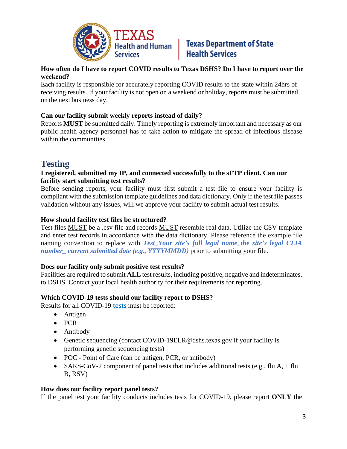

# **Health and Human Texas Department of State**<br>Services **Health Services**

#### **How often do I have to report COVID results to Texas DSHS? Do I have to report over the weekend?**

Each facility is responsible for accurately reporting COVID results to the state within 24hrs of receiving results. If your facility is not open on a weekend or holiday, reports must be submitted on the next business day.

### **Can our facility submit weekly reports instead of daily?**

Reports **MUST** be submitted daily. Timely reporting is extremely important and necessary as our public health agency personnel has to take action to mitigate the spread of infectious disease within the communities.

# **Testing**

#### **I registered, submitted my IP, and connected successfully to the sFTP client. Can our facility start submitting test results?**

Before sending reports, your facility must first submit a test file to ensure your facility is compliant with the submission template guidelines and data dictionary. Only if the test file passes validation without any issues, will we approve your facility to submit actual test results.

### **How should facility test files be structured?**

Test files MUST be a .csv file and records MUST resemble real data. Utilize the CSV template and enter test records in accordance with the data dictionary. Please reference the example file naming convention to replace with *Test\_Your site's full legal name\_the site's legal CLIA number\_ current submitted date (e.g., YYYYMMDD)* prior to submitting your file.

### **Does our facility only submit positive test results?**

Facilities are required to submit **ALL** test results, including positive, negative and indeterminates, to DSHS. Contact your local health authority for their requirements for reporting.

### **Which COVID-19 tests should our facility report to DSHS?**

Results for all COVID-19 **[tests](file:///C:/Users/lpalenapa486/AppData/Local/Microsoft/Windows/INetCache/Content.Outlook/COVID19TestingExplained.pdf)** must be reported:

- Antigen
- PCR
- Antibody
- Genetic sequencing (contact COVID-19ELR@dshs.texas.gov if your facility is performing genetic sequencing tests)
- POC Point of Care (can be antigen, PCR, or antibody)
- SARS-CoV-2 component of panel tests that includes additional tests (e.g., flu A,  $+$  flu B, RSV)

### **How does our facility report panel tests?**

If the panel test your facility conducts includes tests for COVID-19, please report **ONLY** the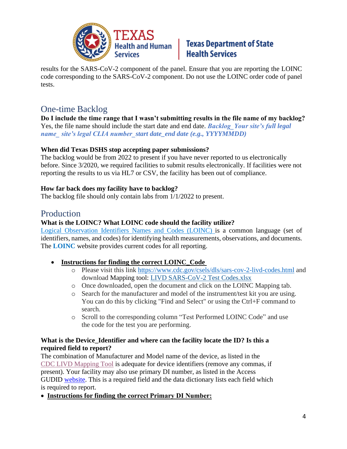

# **Health and Human Texas Department of State**<br>Services **Health Services Health Services**

results for the SARS-CoV-2 component of the panel. Ensure that you are reporting the LOINC code corresponding to the SARS-CoV-2 component. Do not use the LOINC order code of panel tests.

# One-time Backlog

**Do I include the time range that I wasn't submitting results in the file name of my backlog?** Yes, the file name should include the start date and end date. *Backlog\_Your site's full legal name\_ site's legal CLIA number\_start date\_end date (e.g., YYYYMMDD)*

### **When did Texas DSHS stop accepting paper submissions?**

The backlog would be from 2022 to present if you have never reported to us electronically before. Since 3/2020, we required facilities to submit results electronically. If facilities were not reporting the results to us via HL7 or CSV, the facility has been out of compliance.

### **How far back does my facility have to backlog?**

The backlog file should only contain labs from 1/1/2022 to present.

### Production

### **What is the LOINC? What LOINC code should the facility utilize?**

Logical Observation Identifiers Names and Codes (LOINC) is a common language (set of identifiers, names, and codes) for identifying health measurements, observations, and documents. The **[LOINC](https://loinc.org/sars-cov-2-and-covid-19/)** website provides current codes for all reporting.

- **Instructions for finding the correct LOINC\_Code**
	- o Please visit this link <https://www.cdc.gov/csels/dls/sars-cov-2-livd-codes.html> and download Mapping tool: LIVD [SARS-CoV-2](https://www.cdc.gov/csels/dls/documents/livd_test_code_mapping/LIVD-SARS-CoV-2-2021-08-11.xlsx) Test Codes.xlsx
	- o Once downloaded, open the document and click on the LOINC Mapping tab.
	- o Search for the manufacturer and model of the instrument/test kit you are using. You can do this by clicking "Find and Select" or using the Ctrl+F command to search.
	- o Scroll to the corresponding column "Test Performed LOINC Code" and use the code for the test you are performing.

### **What is the Device\_Identifier and where can the facility locate the ID? Is this a required field to report?**

The combination of Manufacturer and Model name of the device, as listed in the [CDC LIVD Mapping Tool](https://www.cdc.gov/csels/dls/sars-cov-2-livd-codes.html) is adequate for device identifiers (remove any commas, if present). Your facility may also use primary DI number, as listed in the Access GUDID [website.](https://accessgudid.nlm.nih.gov/) This is a required field and the data dictionary lists each field which is required to report.

• **Instructions for finding the correct Primary DI Number:**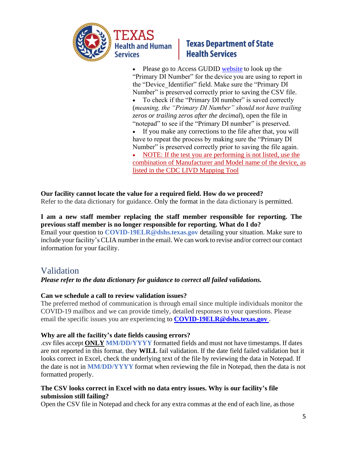

# **Texas Department of State Health Services**

• Please go to Access GUDID website to look up the "Primary DI Number" for the device you are using to report in the "Device Identifier" field. Make sure the "Primary DI Number" is preserved correctly prior to saving the CSV file.

• To check if the "Primary DI number" is saved correctly (*meaning, the "Primary DI Number" should not have trailing zeros or trailing zeros after the decimal*), open the file in "notepad" to see if the "Primary DI number" is preserved.

• If you make any corrections to the file after that, you will have to repeat the process by making sure the "Primary DI Number" is preserved correctly prior to saving the file again.

• NOTE: If the test you are performing is not listed, use the combination of Manufacturer and Model name of the device, as listed in the [CDC LIVD Mapping Tool](https://www.cdc.gov/csels/dls/sars-cov-2-livd-codes.html)

### **Our facility cannot locate the value for a required field. How do we proceed?**

Refer to the data dictionary for guidance. Only the format in the data dictionary is permitted.

### **I am a new staff member replacing the staff member responsible for reporting. The previous staff member is no longer responsible for reporting. What do I do?**

Email your question to **[COVID-19ELR@dshs.texas.gov](mailto:COVID-19ELR@dshs.texas.gov)** detailing your situation. Make sure to include your facility's CLIA number in the email. We can work to revise and/or correct our contact information for your facility.

# Validation

### *Please refer to the data dictionary for guidance to correct all failed validations.*

### **Can we schedule a call to review validation issues?**

The preferred method of communication is through email since multiple individuals monitor the COVID-19 mailbox and we can provide timely, detailed responses to your questions. Please email the specific issues you are experiencing to **[COVID-19ELR@dshs.texas.gov](mailto:COVID-19ELR@dshs.texas.gov)** .

### **Why are all the facility's date fields causing errors?**

.csv files accept **ONLY MM/DD/YYYY** formatted fields and must not have timestamps. If dates are not reported in this format, they **WILL** fail validation. If the date field failed validation but it looks correct in Excel, check the underlying text of the file by reviewing the data in Notepad. If the date is not in **MM/DD/YYYY** format when reviewing the file in Notepad, then the data is not formatted properly.

### **The CSV looks correct in Excel with no data entry issues. Why is our facility's file submission still failing?**

Open the CSV file in Notepad and check for any extra commas at the end of each line, as those